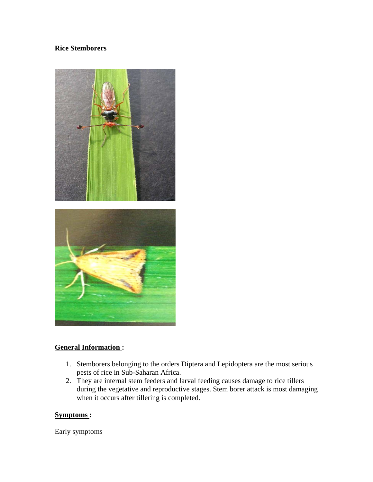### **Rice Stemborers**



#### **General Information :**

- 1. Stemborers belonging to the orders Diptera and Lepidoptera are the most serious pests of rice in Sub-Saharan Africa.
- 2. They are internal stem feeders and larval feeding causes damage to rice tillers during the vegetative and reproductive stages. Stem borer attack is most damaging when it occurs after tillering is completed.

#### **Symptoms :**

Early symptoms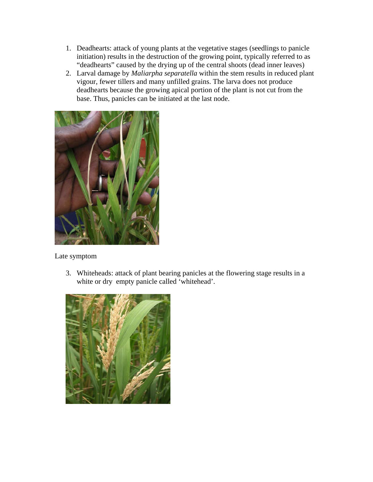- 1. Deadhearts: attack of young plants at the vegetative stages (seedlings to panicle initiation) results in the destruction of the growing point, typically referred to as "deadhearts" caused by the drying up of the central shoots (dead inner leaves)
- 2. Larval damage by *Maliarpha separatella* within the stem results in reduced plant vigour, fewer tillers and many unfilled grains. The larva does not produce deadhearts because the growing apical portion of the plant is not cut from the base. Thus, panicles can be initiated at the last node.



Late symptom

3. Whiteheads: attack of plant bearing panicles at the flowering stage results in a white or dry empty panicle called 'whitehead'.

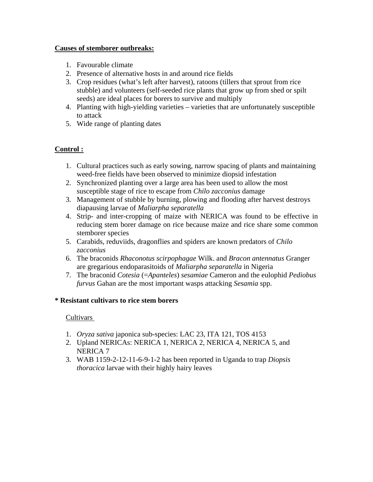### **Causes of stemborer outbreaks:**

- 1. Favourable climate
- 2. Presence of alternative hosts in and around rice fields
- 3. Crop residues (what's left after harvest), ratoons (tillers that sprout from rice stubble) and volunteers (self-seeded rice plants that grow up from shed or spilt seeds) are ideal places for borers to survive and multiply
- 4. Planting with high-yielding varieties varieties that are unfortunately susceptible to attack
- 5. Wide range of planting dates

# **Control :**

- 1. Cultural practices such as early sowing, narrow spacing of plants and maintaining weed-free fields have been observed to minimize diopsid infestation
- 2. Synchronized planting over a large area has been used to allow the most susceptible stage of rice to escape from *Chilo zacconius* damage
- 3. Management of stubble by burning, plowing and flooding after harvest destroys diapausing larvae of *Maliarpha separatella*
- 4. Strip- and inter-cropping of maize with NERICA was found to be effective in reducing stem borer damage on rice because maize and rice share some common stemborer species
- 5. Carabids, reduviids, dragonflies and spiders are known predators of *Chilo zacconius*
- 6. The braconids *Rhaconotus scirpophagae* Wilk. and *Bracon antennatus* Granger are gregarious endoparasitoids of *Maliarpha separatella* in Nigeria
- 7. The braconid *Cotesia* (=*Apanteles*) *sesamiae* Cameron and the eulophid *Pediobus furvus* Gahan are the most important wasps attacking *Sesamia* spp.

### **\* Resistant cultivars to rice stem borers**

- 1. *Oryza sativa* japonica sub-species: LAC 23, ITA 121, TOS 4153
- 2. Upland NERICAs: NERICA 1, NERICA 2, NERICA 4, NERICA 5, and NERICA 7
- 3. WAB 1159-2-12-11-6-9-1-2 has been reported in Uganda to trap *Diopsis thoracica* larvae with their highly hairy leaves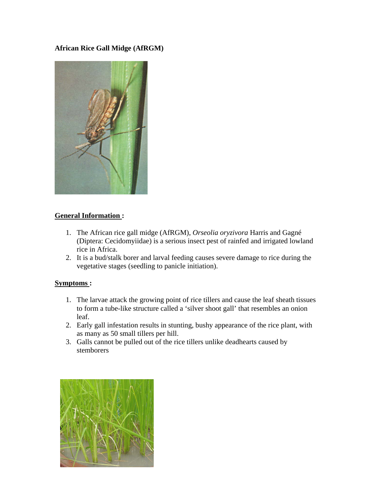**African Rice Gall Midge (AfRGM)** 



# **General Information :**

- 1. The African rice gall midge (AfRGM), *Orseolia oryzivora* Harris and Gagné (Diptera: Cecidomyiidae) is a serious insect pest of rainfed and irrigated lowland rice in Africa.
- 2. It is a bud/stalk borer and larval feeding causes severe damage to rice during the vegetative stages (seedling to panicle initiation).

### **Symptoms :**

- 1. The larvae attack the growing point of rice tillers and cause the leaf sheath tissues to form a tube-like structure called a 'silver shoot gall' that resembles an onion leaf.
- 2. Early gall infestation results in stunting, bushy appearance of the rice plant, with as many as 50 small tillers per hill.
- 3. Galls cannot be pulled out of the rice tillers unlike deadhearts caused by stemborers

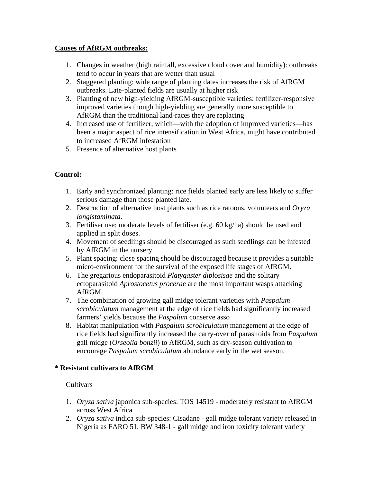### **Causes of AfRGM outbreaks:**

- 1. Changes in weather (high rainfall, excessive cloud cover and humidity): outbreaks tend to occur in years that are wetter than usual
- 2. Staggered planting: wide range of planting dates increases the risk of AfRGM outbreaks. Late-planted fields are usually at higher risk
- 3. Planting of new high-yielding AfRGM-susceptible varieties: fertilizer-responsive improved varieties though high-yielding are generally more susceptible to AfRGM than the traditional land-races they are replacing
- 4. Increased use of fertilizer, which—with the adoption of improved varieties—has been a major aspect of rice intensification in West Africa, might have contributed to increased AfRGM infestation
- 5. Presence of alternative host plants

# **Control:**

- 1. Early and synchronized planting: rice fields planted early are less likely to suffer serious damage than those planted late.
- 2. Destruction of alternative host plants such as rice ratoons, volunteers and *Oryza longistaminata.*
- 3. Fertiliser use: moderate levels of fertiliser (e.g. 60 kg/ha) should be used and applied in split doses.
- 4. Movement of seedlings should be discouraged as such seedlings can be infested by AfRGM in the nursery.
- 5. Plant spacing: close spacing should be discouraged because it provides a suitable micro-environment for the survival of the exposed life stages of AfRGM.
- 6. The gregarious endoparasitoid *Platygaster diplosisae* and the solitary ectoparasitoid *Aprostocetus procerae* are the most important wasps attacking AfRGM.
- 7. The combination of growing gall midge tolerant varieties with *Paspalum scrobiculatum* management at the edge of rice fields had significantly increased farmers' yields because the *Paspalum* conserve asso
- 8. Habitat manipulation with *Paspalum scrobiculatum* management at the edge of rice fields had significantly increased the carry-over of parasitoids from *Paspalum* gall midge (*Orseolia bonzii*) to AfRGM, such as dry-season cultivation to encourage *Paspalum scrobiculatum* abundance early in the wet season.

# **\* Resistant cultivars to AfRGM**

- 1. *Oryza sativa* japonica sub-species: TOS 14519 moderately resistant to AfRGM across West Africa
- 2. *Oryza sativa* indica sub-species: Cisadane gall midge tolerant variety released in Nigeria as FARO 51, BW 348-1 - gall midge and iron toxicity tolerant variety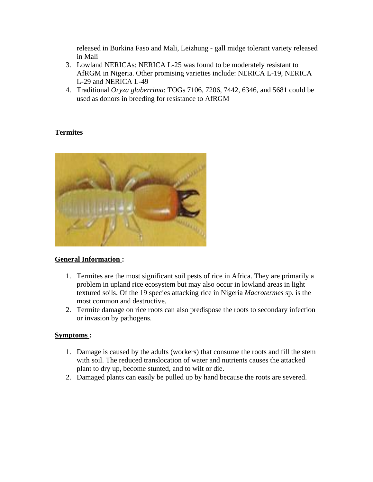released in Burkina Faso and Mali, Leizhung - gall midge tolerant variety released in Mali

- 3. Lowland NERICAs: NERICA L-25 was found to be moderately resistant to AfRGM in Nigeria. Other promising varieties include: NERICA L-19, NERICA L-29 and NERICA L-49
- 4. Traditional *Oryza glaberrima*: TOGs 7106, 7206, 7442, 6346, and 5681 could be used as donors in breeding for resistance to AfRGM

### **Termites**



### **General Information :**

- 1. Termites are the most significant soil pests of rice in Africa. They are primarily a problem in upland rice ecosystem but may also occur in lowland areas in light textured soils. Of the 19 species attacking rice in Nigeria *Macrotermes* sp. is the most common and destructive.
- 2. Termite damage on rice roots can also predispose the roots to secondary infection or invasion by pathogens.

### **Symptoms :**

- 1. Damage is caused by the adults (workers) that consume the roots and fill the stem with soil. The reduced translocation of water and nutrients causes the attacked plant to dry up, become stunted, and to wilt or die.
- 2. Damaged plants can easily be pulled up by hand because the roots are severed.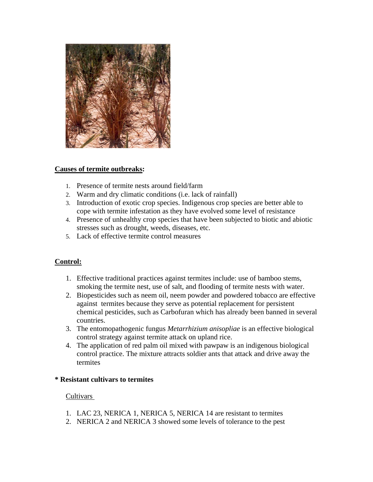

### **Causes of termite outbreaks:**

- 1. Presence of termite nests around field/farm
- 2. Warm and dry climatic conditions (i.e. lack of rainfall)
- 3. Introduction of exotic crop species. Indigenous crop species are better able to cope with termite infestation as they have evolved some level of resistance
- 4. Presence of unhealthy crop species that have been subjected to biotic and abiotic stresses such as drought, weeds, diseases, etc.
- 5. Lack of effective termite control measures

### **Control:**

- 1. Effective traditional practices against termites include: use of bamboo stems, smoking the termite nest, use of salt, and flooding of termite nests with water.
- 2. Biopesticides such as neem oil, neem powder and powdered tobacco are effective against termites because they serve as potential replacement for persistent chemical pesticides, such as Carbofuran which has already been banned in several countries.
- 3. The entomopathogenic fungus *Metarrhizium anisopliae* is an effective biological control strategy against termite attack on upland rice.
- 4. The application of red palm oil mixed with pawpaw is an indigenous biological control practice. The mixture attracts soldier ants that attack and drive away the termites

#### **\* Resistant cultivars to termites**

- 1. LAC 23, NERICA 1, NERICA 5, NERICA 14 are resistant to termites
- 2. NERICA 2 and NERICA 3 showed some levels of tolerance to the pest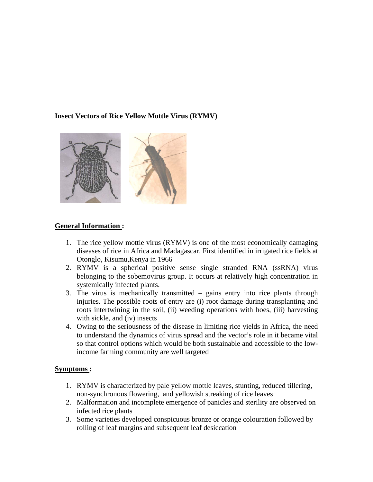### **Insect Vectors of Rice Yellow Mottle Virus (RYMV)**



### **General Information :**

- 1. The rice yellow mottle virus (RYMV) is one of the most economically damaging diseases of rice in Africa and Madagascar. First identified in irrigated rice fields at Otonglo, Kisumu,Kenya in 1966
- 2. RYMV is a spherical positive sense single stranded RNA (ssRNA) virus belonging to the sobemovirus group. It occurs at relatively high concentration in systemically infected plants.
- 3. The virus is mechanically transmitted gains entry into rice plants through injuries. The possible roots of entry are (i) root damage during transplanting and roots intertwining in the soil, (ii) weeding operations with hoes, (iii) harvesting with sickle, and (iv) insects
- 4. Owing to the seriousness of the disease in limiting rice yields in Africa, the need to understand the dynamics of virus spread and the vector's role in it became vital so that control options which would be both sustainable and accessible to the lowincome farming community are well targeted

#### **Symptoms :**

- 1. RYMV is characterized by pale yellow mottle leaves, stunting, reduced tillering, non-synchronous flowering, and yellowish streaking of rice leaves
- 2. Malformation and incomplete emergence of panicles and sterility are observed on infected rice plants
- 3. Some varieties developed conspicuous bronze or orange colouration followed by rolling of leaf margins and subsequent leaf desiccation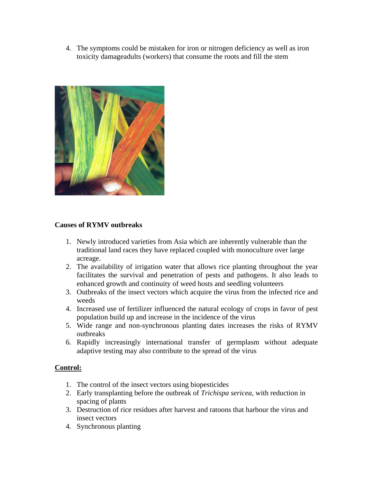4. The symptoms could be mistaken for iron or nitrogen deficiency as well as iron toxicity damageadults (workers) that consume the roots and fill the stem



#### **Causes of RYMV outbreaks**

- 1. Newly introduced varieties from Asia which are inherently vulnerable than the traditional land races they have replaced coupled with monoculture over large acreage.
- 2. The availability of irrigation water that allows rice planting throughout the year facilitates the survival and penetration of pests and pathogens. It also leads to enhanced growth and continuity of weed hosts and seedling volunteers
- 3. Outbreaks of the insect vectors which acquire the virus from the infected rice and weeds
- 4. Increased use of fertilizer influenced the natural ecology of crops in favor of pest population build up and increase in the incidence of the virus
- 5. Wide range and non-synchronous planting dates increases the risks of RYMV outbreaks
- 6. Rapidly increasingly international transfer of germplasm without adequate adaptive testing may also contribute to the spread of the virus

### **Control:**

- 1. The control of the insect vectors using biopesticides
- 2. Early transplanting before the outbreak of *Trichispa sericea,* with reduction in spacing of plants
- 3. Destruction of rice residues after harvest and ratoons that harbour the virus and insect vectors
- 4. Synchronous planting